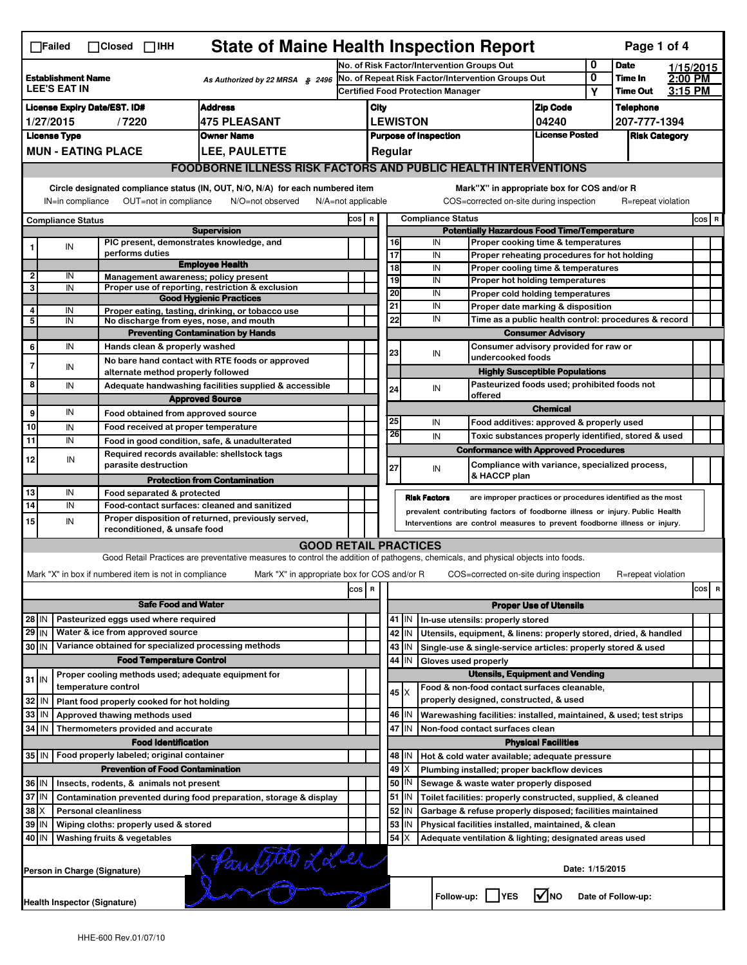| <b>State of Maine Health Inspection Report</b><br>Page 1 of 4<br>$\Box$ Failed<br>$\Box$ Closed $\Box$ IHH |                                                                                                                                                                        |  |                                                             |                                                                                                                                   |                                                   |                                                                        |                                          |                                                                              |                     |                                       |                                                                              |                               |                 |                    |         |         |
|------------------------------------------------------------------------------------------------------------|------------------------------------------------------------------------------------------------------------------------------------------------------------------------|--|-------------------------------------------------------------|-----------------------------------------------------------------------------------------------------------------------------------|---------------------------------------------------|------------------------------------------------------------------------|------------------------------------------|------------------------------------------------------------------------------|---------------------|---------------------------------------|------------------------------------------------------------------------------|-------------------------------|-----------------|--------------------|---------|---------|
|                                                                                                            |                                                                                                                                                                        |  |                                                             |                                                                                                                                   | No. of Risk Factor/Intervention Groups Out        |                                                                        |                                          |                                                                              |                     | 0                                     | <b>Date</b>                                                                  |                               | 1/15/2015       |                    |         |         |
| <b>Establishment Name</b><br>As Authorized by 22 MRSA § 2496<br><b>LEE'S EAT IN</b>                        |                                                                                                                                                                        |  |                                                             |                                                                                                                                   | No. of Repeat Risk Factor/Intervention Groups Out |                                                                        |                                          |                                                                              |                     |                                       | 0                                                                            | Time In                       | 2:00 PM         |                    |         |         |
|                                                                                                            |                                                                                                                                                                        |  |                                                             |                                                                                                                                   |                                                   |                                                                        | <b>Certified Food Protection Manager</b> |                                                                              |                     |                                       |                                                                              |                               | Υ               | <b>Time Out</b>    | 3:15 PM |         |
| <b>Address</b><br><b>License Expiry Date/EST. ID#</b>                                                      |                                                                                                                                                                        |  |                                                             |                                                                                                                                   |                                                   | City                                                                   |                                          |                                                                              |                     |                                       |                                                                              | <b>Zip Code</b>               |                 | <b>Telephone</b>   |         |         |
| <b>475 PLEASANT</b><br>1/27/2015<br>/7220                                                                  |                                                                                                                                                                        |  |                                                             |                                                                                                                                   |                                                   | <b>LEWISTON</b><br>04240                                               |                                          |                                                                              |                     |                                       | 207-777-1394                                                                 |                               |                 |                    |         |         |
| <b>License Type</b><br><b>Owner Name</b>                                                                   |                                                                                                                                                                        |  |                                                             |                                                                                                                                   |                                                   | <b>License Posted</b><br><b>Purpose of Inspection</b>                  |                                          |                                                                              |                     |                                       |                                                                              | <b>Risk Category</b>          |                 |                    |         |         |
|                                                                                                            | <b>MUN - EATING PLACE</b><br>LEE, PAULETTE                                                                                                                             |  |                                                             |                                                                                                                                   |                                                   |                                                                        |                                          | Regular                                                                      |                     |                                       |                                                                              |                               |                 |                    |         |         |
| <b>FOODBORNE ILLNESS RISK FACTORS AND PUBLIC HEALTH INTERVENTIONS</b>                                      |                                                                                                                                                                        |  |                                                             |                                                                                                                                   |                                                   |                                                                        |                                          |                                                                              |                     |                                       |                                                                              |                               |                 |                    |         |         |
|                                                                                                            | Circle designated compliance status (IN, OUT, N/O, N/A) for each numbered item                                                                                         |  |                                                             |                                                                                                                                   |                                                   |                                                                        |                                          |                                                                              |                     |                                       | Mark"X" in appropriate box for COS and/or R                                  |                               |                 |                    |         |         |
|                                                                                                            | OUT=not in compliance<br>IN=in compliance<br>N/O=not observed<br>$N/A = not$ applicable                                                                                |  |                                                             |                                                                                                                                   |                                                   |                                                                        |                                          |                                                                              |                     |                                       | COS=corrected on-site during inspection                                      |                               |                 | R=repeat violation |         |         |
| <b>Compliance Status</b>                                                                                   |                                                                                                                                                                        |  |                                                             |                                                                                                                                   |                                                   |                                                                        | <b>Compliance Status</b><br>COS R        |                                                                              |                     |                                       |                                                                              |                               |                 |                    |         | $cos$ R |
| <b>Supervision</b>                                                                                         |                                                                                                                                                                        |  |                                                             |                                                                                                                                   |                                                   |                                                                        |                                          | <b>Potentially Hazardous Food Time/Temperature</b>                           |                     |                                       |                                                                              |                               |                 |                    |         |         |
|                                                                                                            | IN                                                                                                                                                                     |  | PIC present, demonstrates knowledge, and<br>performs duties |                                                                                                                                   |                                                   |                                                                        |                                          | 16<br>17                                                                     |                     | IN                                    | Proper cooking time & temperatures                                           |                               |                 |                    |         |         |
|                                                                                                            |                                                                                                                                                                        |  |                                                             | <b>Employee Health</b>                                                                                                            |                                                   |                                                                        |                                          | 18                                                                           |                     | IN<br>IN                              | Proper reheating procedures for hot holding                                  |                               |                 |                    |         |         |
| 2                                                                                                          | IN                                                                                                                                                                     |  | Management awareness; policy present                        |                                                                                                                                   |                                                   |                                                                        |                                          | 19                                                                           |                     | IN                                    | Proper cooling time & temperatures<br>Proper hot holding temperatures        |                               |                 |                    |         |         |
| 3                                                                                                          | IN                                                                                                                                                                     |  |                                                             | Proper use of reporting, restriction & exclusion                                                                                  |                                                   |                                                                        |                                          | 20                                                                           |                     | IN                                    | Proper cold holding temperatures                                             |                               |                 |                    |         |         |
|                                                                                                            |                                                                                                                                                                        |  |                                                             | <b>Good Hygienic Practices</b>                                                                                                    |                                                   |                                                                        |                                          | 21                                                                           |                     | IN                                    | Proper date marking & disposition                                            |                               |                 |                    |         |         |
| 4<br>5                                                                                                     | IN<br>IN                                                                                                                                                               |  | No discharge from eyes, nose, and mouth                     | Proper eating, tasting, drinking, or tobacco use                                                                                  |                                                   |                                                                        |                                          | 22                                                                           |                     | IN                                    | Time as a public health control: procedures & record                         |                               |                 |                    |         |         |
|                                                                                                            |                                                                                                                                                                        |  |                                                             | <b>Preventing Contamination by Hands</b>                                                                                          |                                                   |                                                                        |                                          |                                                                              |                     | <b>Consumer Advisory</b>              |                                                                              |                               |                 |                    |         |         |
| 6                                                                                                          | IN                                                                                                                                                                     |  | Hands clean & properly washed                               |                                                                                                                                   |                                                   |                                                                        |                                          |                                                                              |                     | Consumer advisory provided for raw or |                                                                              |                               |                 |                    |         |         |
| 7                                                                                                          |                                                                                                                                                                        |  |                                                             | No bare hand contact with RTE foods or approved                                                                                   |                                                   |                                                                        |                                          | 23                                                                           |                     | IN                                    | undercooked foods                                                            |                               |                 |                    |         |         |
|                                                                                                            | IN                                                                                                                                                                     |  | alternate method properly followed                          |                                                                                                                                   |                                                   |                                                                        |                                          |                                                                              |                     |                                       | <b>Highly Susceptible Populations</b>                                        |                               |                 |                    |         |         |
| 8                                                                                                          | IN                                                                                                                                                                     |  |                                                             | Adequate handwashing facilities supplied & accessible                                                                             |                                                   |                                                                        |                                          | 24                                                                           |                     | IN                                    | Pasteurized foods used; prohibited foods not                                 |                               |                 |                    |         |         |
|                                                                                                            |                                                                                                                                                                        |  |                                                             | <b>Approved Source</b>                                                                                                            |                                                   |                                                                        |                                          |                                                                              |                     |                                       | offered                                                                      |                               |                 |                    |         |         |
| 9                                                                                                          | IN                                                                                                                                                                     |  | Food obtained from approved source                          |                                                                                                                                   |                                                   |                                                                        |                                          | 25                                                                           |                     |                                       |                                                                              | <b>Chemical</b>               |                 |                    |         |         |
| 10                                                                                                         | IN                                                                                                                                                                     |  | Food received at proper temperature                         |                                                                                                                                   |                                                   |                                                                        |                                          | 26                                                                           |                     | IN                                    | Food additives: approved & properly used                                     |                               |                 |                    |         |         |
| 11                                                                                                         | IN                                                                                                                                                                     |  |                                                             | Food in good condition, safe, & unadulterated                                                                                     |                                                   |                                                                        |                                          |                                                                              |                     | IN                                    | Toxic substances properly identified, stored & used                          |                               |                 |                    |         |         |
| 12                                                                                                         | IN                                                                                                                                                                     |  | Required records available: shellstock tags                 |                                                                                                                                   |                                                   |                                                                        |                                          |                                                                              |                     |                                       | <b>Conformance with Approved Procedures</b>                                  |                               |                 |                    |         |         |
|                                                                                                            |                                                                                                                                                                        |  | parasite destruction                                        |                                                                                                                                   |                                                   |                                                                        |                                          | 27                                                                           |                     | IN                                    | Compliance with variance, specialized process,<br>& HACCP plan               |                               |                 |                    |         |         |
|                                                                                                            |                                                                                                                                                                        |  |                                                             | <b>Protection from Contamination</b>                                                                                              |                                                   |                                                                        |                                          |                                                                              |                     |                                       |                                                                              |                               |                 |                    |         |         |
| 13<br>$\overline{14}$                                                                                      | IN<br>IN                                                                                                                                                               |  | Food separated & protected                                  | Food-contact surfaces: cleaned and sanitized                                                                                      |                                                   |                                                                        |                                          |                                                                              | <b>Risk Factors</b> |                                       | are improper practices or procedures identified as the most                  |                               |                 |                    |         |         |
|                                                                                                            |                                                                                                                                                                        |  |                                                             |                                                                                                                                   |                                                   |                                                                        |                                          |                                                                              |                     |                                       | prevalent contributing factors of foodborne illness or injury. Public Health |                               |                 |                    |         |         |
| 15                                                                                                         | Proper disposition of returned, previously served,<br>IN<br>Interventions are control measures to prevent foodborne illness or injury.<br>reconditioned, & unsafe food |  |                                                             |                                                                                                                                   |                                                   |                                                                        |                                          |                                                                              |                     |                                       |                                                                              |                               |                 |                    |         |         |
|                                                                                                            |                                                                                                                                                                        |  |                                                             | <b>GOOD RETAIL PRACTICES</b>                                                                                                      |                                                   |                                                                        |                                          |                                                                              |                     |                                       |                                                                              |                               |                 |                    |         |         |
|                                                                                                            |                                                                                                                                                                        |  |                                                             | Good Retail Practices are preventative measures to control the addition of pathogens, chemicals, and physical objects into foods. |                                                   |                                                                        |                                          |                                                                              |                     |                                       |                                                                              |                               |                 |                    |         |         |
|                                                                                                            |                                                                                                                                                                        |  | Mark "X" in box if numbered item is not in compliance       | Mark "X" in appropriate box for COS and/or R                                                                                      |                                                   |                                                                        |                                          |                                                                              |                     |                                       | COS=corrected on-site during inspection                                      |                               |                 | R=repeat violation |         |         |
|                                                                                                            |                                                                                                                                                                        |  |                                                             |                                                                                                                                   | cos                                               | R                                                                      |                                          |                                                                              |                     |                                       |                                                                              |                               |                 |                    |         | cos R   |
| <b>Safe Food and Water</b>                                                                                 |                                                                                                                                                                        |  |                                                             |                                                                                                                                   |                                                   |                                                                        |                                          |                                                                              |                     |                                       |                                                                              | <b>Proper Use of Utensils</b> |                 |                    |         |         |
| Pasteurized eggs used where required<br>28 IN                                                              |                                                                                                                                                                        |  |                                                             |                                                                                                                                   |                                                   |                                                                        |                                          | $41$   IN                                                                    |                     |                                       | In-use utensils: properly stored                                             |                               |                 |                    |         |         |
| 29 IN                                                                                                      |                                                                                                                                                                        |  | Water & ice from approved source                            |                                                                                                                                   |                                                   |                                                                        |                                          | Utensils, equipment, & linens: properly stored, dried, & handled<br>42<br>IN |                     |                                       |                                                                              |                               |                 |                    |         |         |
| 30 IN                                                                                                      |                                                                                                                                                                        |  | Variance obtained for specialized processing methods        |                                                                                                                                   |                                                   |                                                                        |                                          | 43<br>IN<br>Single-use & single-service articles: properly stored & used     |                     |                                       |                                                                              |                               |                 |                    |         |         |
|                                                                                                            |                                                                                                                                                                        |  | <b>Food Temperature Control</b>                             |                                                                                                                                   |                                                   |                                                                        | 44<br>IN<br>Gloves used properly         |                                                                              |                     |                                       |                                                                              |                               |                 |                    |         |         |
|                                                                                                            |                                                                                                                                                                        |  | Proper cooling methods used; adequate equipment for         |                                                                                                                                   |                                                   |                                                                        | <b>Utensils, Equipment and Vending</b>   |                                                                              |                     |                                       |                                                                              |                               |                 |                    |         |         |
| $31$ IN                                                                                                    |                                                                                                                                                                        |  | temperature control                                         |                                                                                                                                   |                                                   |                                                                        |                                          | $45 \times$                                                                  |                     |                                       | Food & non-food contact surfaces cleanable,                                  |                               |                 |                    |         |         |
| 32                                                                                                         | IN                                                                                                                                                                     |  | Plant food properly cooked for hot holding                  |                                                                                                                                   |                                                   |                                                                        |                                          |                                                                              |                     |                                       | properly designed, constructed, & used                                       |                               |                 |                    |         |         |
| 33                                                                                                         | IN                                                                                                                                                                     |  | Approved thawing methods used                               |                                                                                                                                   |                                                   |                                                                        |                                          | 46<br>IN                                                                     |                     |                                       | Warewashing facilities: installed, maintained, & used; test strips           |                               |                 |                    |         |         |
| 34                                                                                                         | l IN                                                                                                                                                                   |  | Thermometers provided and accurate                          |                                                                                                                                   |                                                   |                                                                        |                                          | 47 IN                                                                        |                     |                                       | Non-food contact surfaces clean                                              |                               |                 |                    |         |         |
|                                                                                                            |                                                                                                                                                                        |  | <b>Food Identification</b>                                  |                                                                                                                                   |                                                   |                                                                        |                                          | <b>Physical Facilities</b>                                                   |                     |                                       |                                                                              |                               |                 |                    |         |         |
|                                                                                                            | 35 IN<br>Food properly labeled; original container                                                                                                                     |  |                                                             |                                                                                                                                   |                                                   |                                                                        |                                          | 48   IN<br>Hot & cold water available; adequate pressure                     |                     |                                       |                                                                              |                               |                 |                    |         |         |
|                                                                                                            |                                                                                                                                                                        |  | <b>Prevention of Food Contamination</b>                     |                                                                                                                                   |                                                   |                                                                        |                                          | 49                                                                           |                     |                                       | Plumbing installed; proper backflow devices                                  |                               |                 |                    |         |         |
| 36 IN                                                                                                      |                                                                                                                                                                        |  | Insects, rodents, & animals not present                     |                                                                                                                                   |                                                   |                                                                        |                                          | 50 <br>IN                                                                    |                     |                                       | Sewage & waste water properly disposed                                       |                               |                 |                    |         |         |
| 37 IN<br>Contamination prevented during food preparation, storage & display                                |                                                                                                                                                                        |  |                                                             |                                                                                                                                   |                                                   | $51$ M<br>Toilet facilities: properly constructed, supplied, & cleaned |                                          |                                                                              |                     |                                       |                                                                              |                               |                 |                    |         |         |
| 38<br>IΧ<br><b>Personal cleanliness</b>                                                                    |                                                                                                                                                                        |  |                                                             |                                                                                                                                   |                                                   | 52<br>IN<br>Garbage & refuse properly disposed; facilities maintained  |                                          |                                                                              |                     |                                       |                                                                              |                               |                 |                    |         |         |
| 39<br>Wiping cloths: properly used & stored<br>ΙM                                                          |                                                                                                                                                                        |  |                                                             |                                                                                                                                   |                                                   | 53<br>IN<br>Physical facilities installed, maintained, & clean         |                                          |                                                                              |                     |                                       |                                                                              |                               |                 |                    |         |         |
| 40 IN<br>Washing fruits & vegetables                                                                       |                                                                                                                                                                        |  |                                                             |                                                                                                                                   |                                                   |                                                                        |                                          | 54<br>ΙX                                                                     |                     |                                       | Adequate ventilation & lighting; designated areas used                       |                               |                 |                    |         |         |
|                                                                                                            |                                                                                                                                                                        |  | Person in Charge (Signature)                                | Paulitte LLee                                                                                                                     |                                                   |                                                                        |                                          |                                                                              |                     |                                       |                                                                              |                               | Date: 1/15/2015 |                    |         |         |
|                                                                                                            | Health Inspector (Signature)                                                                                                                                           |  |                                                             |                                                                                                                                   |                                                   |                                                                        |                                          |                                                                              |                     |                                       | Follow-up:     YES                                                           | l√Ino                         |                 | Date of Follow-up: |         |         |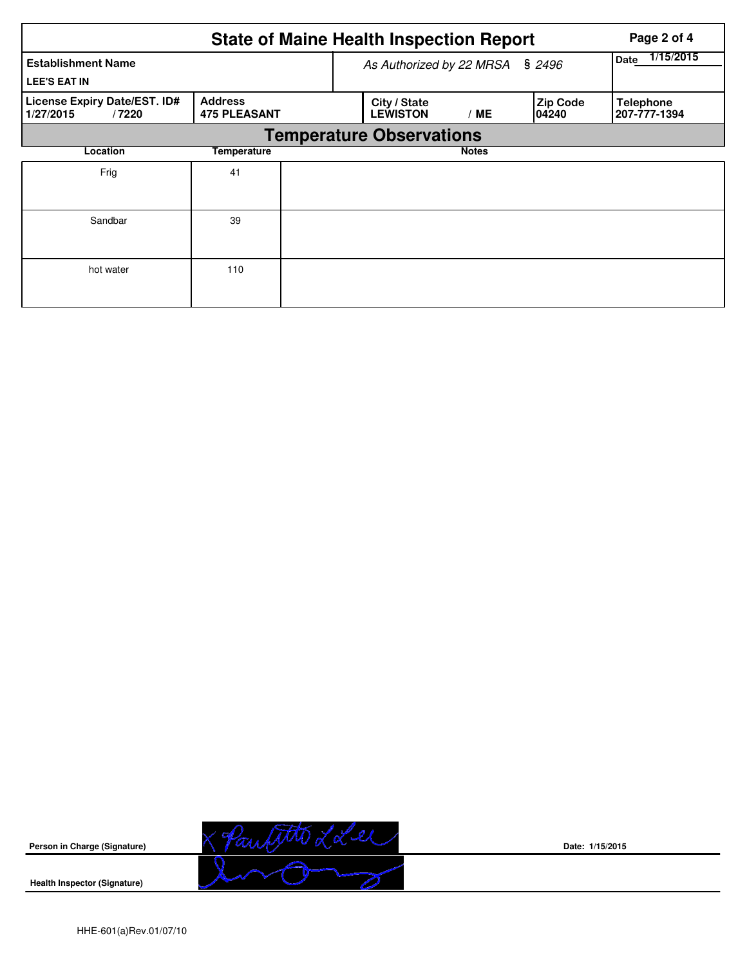|                                                    |                                       | <b>State of Maine Health Inspection Report</b> | Page 2 of 4              |                           |                                  |
|----------------------------------------------------|---------------------------------------|------------------------------------------------|--------------------------|---------------------------|----------------------------------|
| <b>Establishment Name</b><br><b>LEE'S EAT IN</b>   |                                       | As Authorized by 22 MRSA                       | 1/15/2015<br><b>Date</b> |                           |                                  |
| License Expiry Date/EST. ID#<br>1/27/2015<br>/7220 | <b>Address</b><br><b>475 PLEASANT</b> | City / State<br><b>LEWISTON</b>                | <b>ME</b>                | <b>Zip Code</b><br>104240 | <b>Telephone</b><br>207-777-1394 |
|                                                    |                                       | <b>Temperature Observations</b>                |                          |                           |                                  |
| Location                                           | Temperature                           |                                                | <b>Notes</b>             |                           |                                  |
| Frig                                               | 41                                    |                                                |                          |                           |                                  |
| Sandbar                                            | 39                                    |                                                |                          |                           |                                  |
| hot water                                          | 110                                   |                                                |                          |                           |                                  |



**Date: 1/15/2015**

**Health Inspector (Signature)**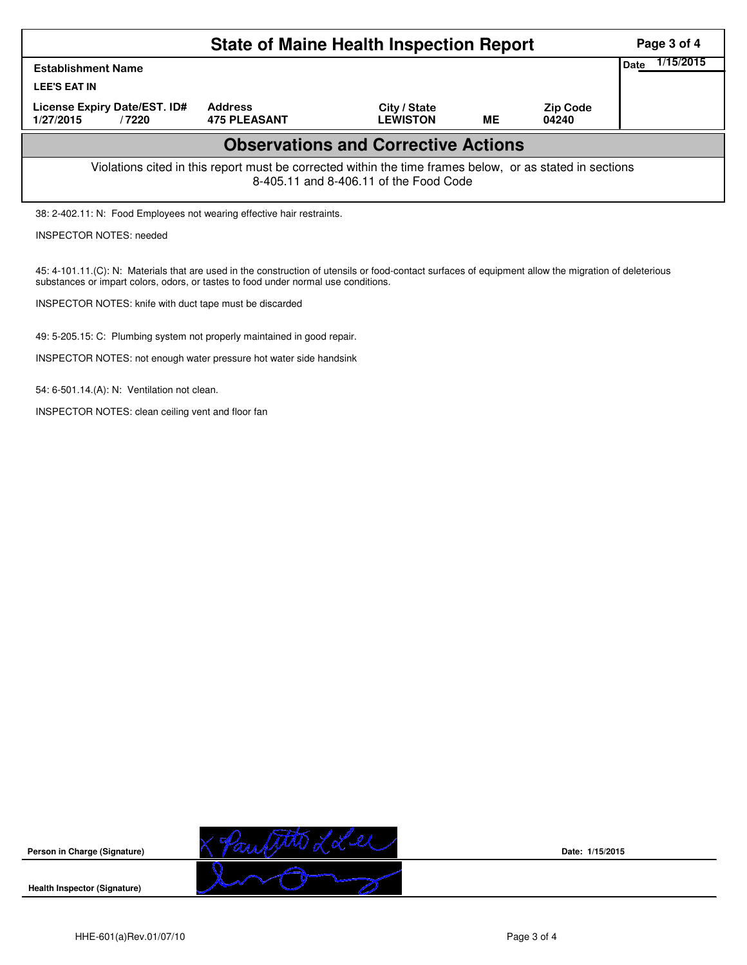|                                                                                                                                                    | Page 3 of 4                           |                                 |           |                          |  |  |  |  |  |  |  |
|----------------------------------------------------------------------------------------------------------------------------------------------------|---------------------------------------|---------------------------------|-----------|--------------------------|--|--|--|--|--|--|--|
| <b>Establishment Name</b>                                                                                                                          |                                       | 1/15/2015<br>Date               |           |                          |  |  |  |  |  |  |  |
| <b>LEE'S EAT IN</b>                                                                                                                                |                                       |                                 |           |                          |  |  |  |  |  |  |  |
| License Expiry Date/EST. ID#<br>1/27/2015<br>/7220                                                                                                 | <b>Address</b><br><b>475 PLEASANT</b> | City / State<br><b>LEWISTON</b> | <b>ME</b> | <b>Zip Code</b><br>04240 |  |  |  |  |  |  |  |
| <b>Observations and Corrective Actions</b>                                                                                                         |                                       |                                 |           |                          |  |  |  |  |  |  |  |
| Violations cited in this report must be corrected within the time frames below, or as stated in sections<br>8-405.11 and 8-406.11 of the Food Code |                                       |                                 |           |                          |  |  |  |  |  |  |  |
| 38: 2-402.11: N: Food Employees not wearing effective hair restraints.                                                                             |                                       |                                 |           |                          |  |  |  |  |  |  |  |
| <b>INSPECTOR NOTES: needed</b>                                                                                                                     |                                       |                                 |           |                          |  |  |  |  |  |  |  |

45: 4-101.11.(C): N: Materials that are used in the construction of utensils or food-contact surfaces of equipment allow the migration of deleterious substances or impart colors, odors, or tastes to food under normal use conditions.

INSPECTOR NOTES: knife with duct tape must be discarded

49: 5-205.15: C: Plumbing system not properly maintained in good repair.

INSPECTOR NOTES: not enough water pressure hot water side handsink

54: 6-501.14.(A): N: Ventilation not clean.

INSPECTOR NOTES: clean ceiling vent and floor fan



**Date: 1/15/2015**

**Health Inspector (Signature)** 

**Person in Charge (Signature)**